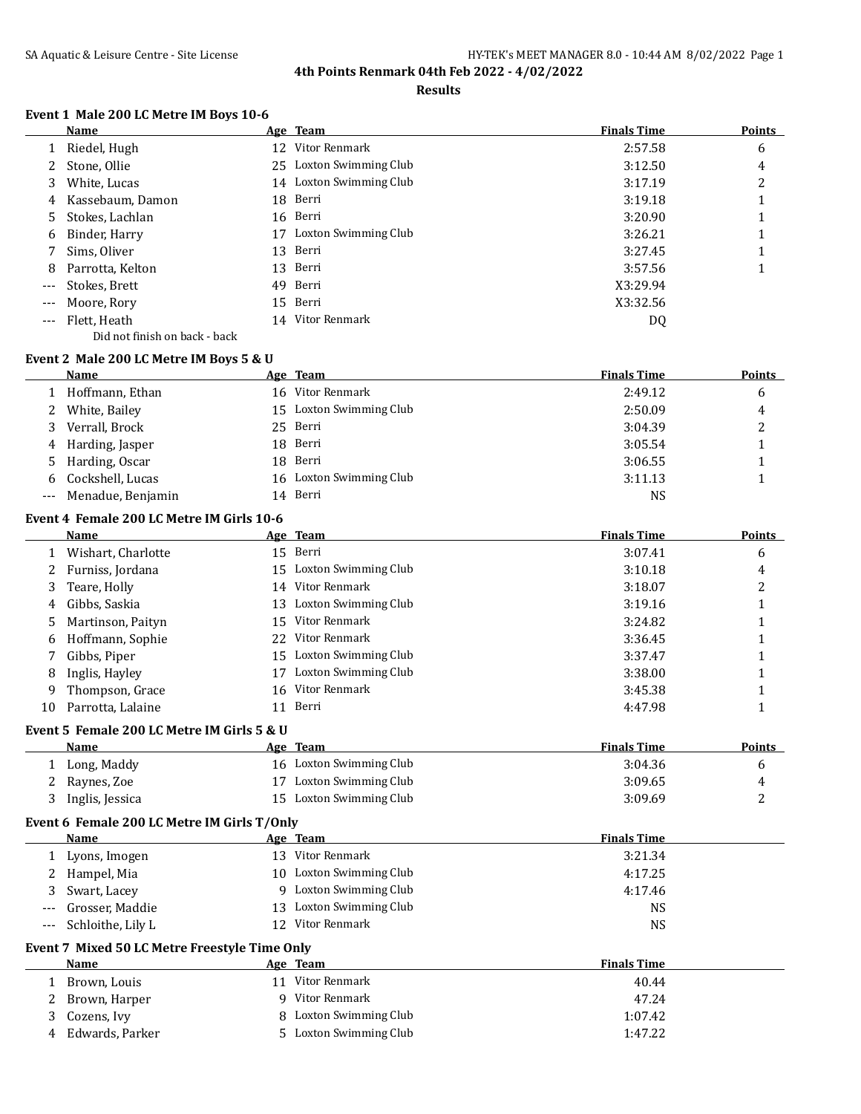#### **Results**

### **Event 1 Male 200 LC Metre IM Boys 10-6**

|       | <b>Name</b>                   |    | Age Team             | <b>Finals Time</b> | <b>Points</b> |
|-------|-------------------------------|----|----------------------|--------------------|---------------|
|       | 1 Riedel, Hugh                |    | 12 Vitor Renmark     | 2:57.58            | 6             |
| 2     | Stone, Ollie                  | 25 | Loxton Swimming Club | 3:12.50            | 4             |
| 3     | White, Lucas                  | 14 | Loxton Swimming Club | 3:17.19            | 2             |
| 4     | Kassebaum, Damon              | 18 | Berri                | 3:19.18            |               |
| 5.    | Stokes, Lachlan               |    | 16 Berri             | 3:20.90            |               |
| 6     | Binder, Harry                 | 17 | Loxton Swimming Club | 3:26.21            |               |
|       | Sims, Oliver                  |    | 13 Berri             | 3:27.45            |               |
| 8     | Parrotta, Kelton              |    | 13 Berri             | 3:57.56            |               |
| $---$ | Stokes, Brett                 |    | 49 Berri             | X3:29.94           |               |
| $---$ | Moore, Rory                   |    | 15 Berri             | X3:32.56           |               |
| $---$ | Flett, Heath                  | 14 | Vitor Renmark        | DQ                 |               |
|       | Did not finish on back - back |    |                      |                    |               |

## **Event 2 Male 200 LC Metre IM Boys 5 & U**

| Name                  | Age Team                | <b>Finals Time</b> | <b>Points</b> |
|-----------------------|-------------------------|--------------------|---------------|
| Hoffmann, Ethan       | 16 Vitor Renmark        | 2:49.12            | 6             |
| 2 White, Bailey       | 15 Loxton Swimming Club | 2:50.09            | 4             |
| 3 Verrall, Brock      | 25 Berri                | 3:04.39            | っ<br>▵        |
| 4 Harding, Jasper     | 18 Berri                | 3:05.54            |               |
| 5 Harding, Oscar      | 18 Berri                | 3:06.55            |               |
| 6 Cockshell, Lucas    | 16 Loxton Swimming Club | 3:11.13            |               |
| --- Menadue, Benjamin | 14 Berri                | NS                 |               |

### **Event 4 Female 200 LC Metre IM Girls 10-6**

|    | Name               |     | Age Team                | <b>Finals Time</b> | <b>Points</b> |
|----|--------------------|-----|-------------------------|--------------------|---------------|
|    | Wishart, Charlotte |     | 15 Berri                | 3:07.41            | 6             |
|    | 2 Furniss, Jordana |     | 15 Loxton Swimming Club | 3:10.18            | 4             |
| 3  | Teare, Holly       |     | 14 Vitor Renmark        | 3:18.07            |               |
| 4  | Gibbs, Saskia      | 13. | Loxton Swimming Club    | 3:19.16            |               |
| 5. | Martinson, Paityn  |     | 15 Vitor Renmark        | 3:24.82            |               |
| 6  | Hoffmann, Sophie   | 22  | Vitor Renmark           | 3:36.45            |               |
|    | Gibbs, Piper       |     | 15 Loxton Swimming Club | 3:37.47            |               |
| 8  | Inglis, Hayley     |     | Loxton Swimming Club    | 3:38.00            |               |
| 9  | Thompson, Grace    | 16. | Vitor Renmark           | 3:45.38            |               |
| 10 | Parrotta, Lalaine  |     | Berri                   | 4:47.98            |               |

# **Event 5 Female 200 LC Metre IM Girls 5 & U**

| <b>Name</b>     | Age | <b>Team</b>             | <b>Finals Time</b> | <b>Points</b> |
|-----------------|-----|-------------------------|--------------------|---------------|
| Long, Maddy     |     | 16 Loxton Swimming Club | 3:04.36            |               |
| Raynes, Zoe     |     | 17 Loxton Swimming Club | 3:09.65            | ᅭ             |
| Inglis, Jessica |     | 15 Loxton Swimming Club | 3:09.69            | ∼             |

# **Event 6 Female 200 LC Metre IM Girls T/Only**

| Name                                          |     | Age Team             | <b>Finals Time</b>            |  |  |  |
|-----------------------------------------------|-----|----------------------|-------------------------------|--|--|--|
| Lyons, Imogen                                 | 13  | Vitor Renmark        | 3:21.34                       |  |  |  |
| 2 Hampel, Mia                                 | 10. | Loxton Swimming Club | 4:17.25                       |  |  |  |
| 3 Swart, Lacey                                | q.  | Loxton Swimming Club | 4:17.46                       |  |  |  |
| --- Grosser, Maddie                           | 13. | Loxton Swimming Club | NS                            |  |  |  |
| --- Schloithe, Lily L                         | 12. | Vitor Renmark        | NS                            |  |  |  |
| Event 7 Mixed 50 LC Metre Freestyle Time Only |     |                      |                               |  |  |  |
| <b>Name</b>                                   |     | Age Team             | <b>Finals Time</b>            |  |  |  |
| $1 - 5$ $1 - 1$                               |     | 11 Uitor Donmark     | $\Lambda$ $\Lambda$ $\Lambda$ |  |  |  |

## 1 Brown, Louis 11 Vitor Renmark 40.44 2 Brown, Harper 9 Vitor Renmark 47.24 3 Cozens, Ivy 8 Loxton Swimming Club 1:07.42 4 Edwards, Parker 5 Loxton Swimming Club 1:47.22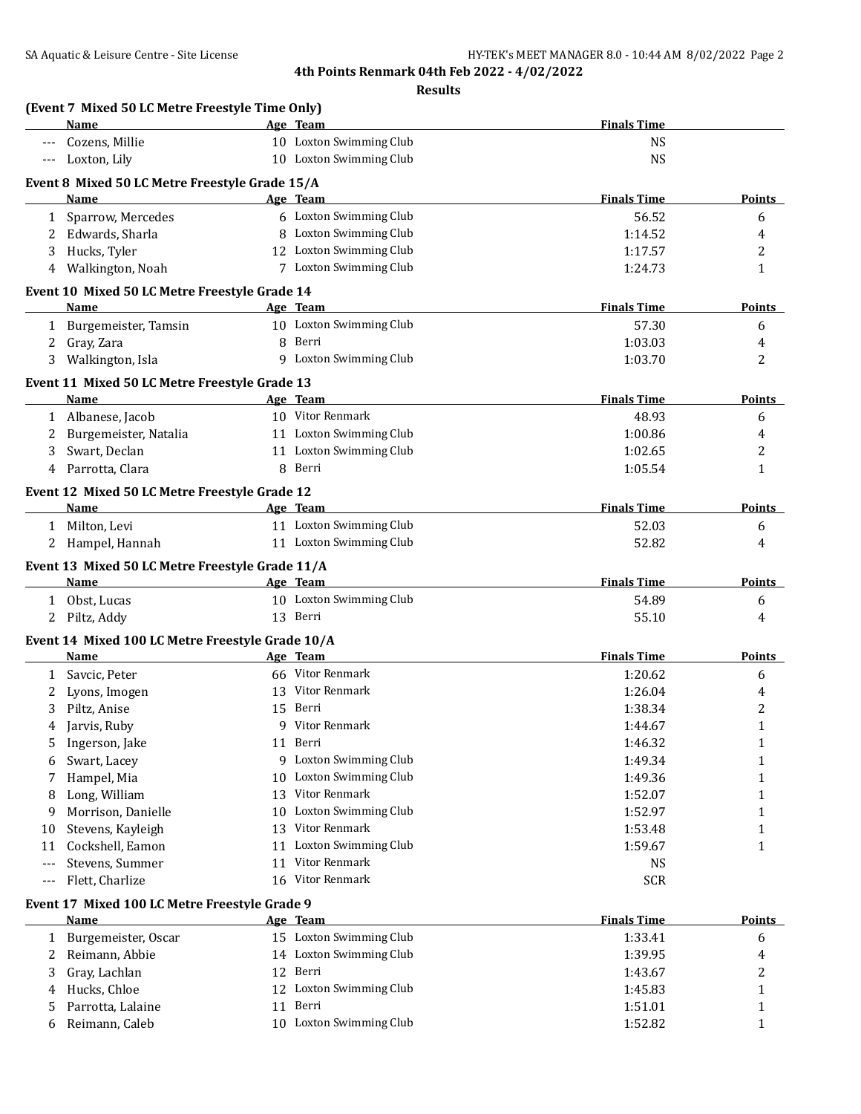|                   | (Event 7 Mixed 50 LC Metre Freestyle Time Only)<br>Name  |    | Age Team                            | <b>Finals Time</b> |                     |
|-------------------|----------------------------------------------------------|----|-------------------------------------|--------------------|---------------------|
|                   | Cozens, Millie                                           |    | 10 Loxton Swimming Club             | <b>NS</b>          |                     |
|                   | Loxton, Lily                                             |    | 10 Loxton Swimming Club             | <b>NS</b>          |                     |
|                   | Event 8 Mixed 50 LC Metre Freestyle Grade 15/A           |    |                                     |                    |                     |
|                   | Name                                                     |    | Age Team                            | <b>Finals Time</b> | Points              |
|                   | 1 Sparrow, Mercedes                                      |    | 6 Loxton Swimming Club              | 56.52              | 6                   |
| 2                 | Edwards, Sharla                                          |    | 8 Loxton Swimming Club              | 1:14.52            | 4                   |
| 3                 | Hucks, Tyler                                             |    | 12 Loxton Swimming Club             | 1:17.57            | 2                   |
|                   | 4 Walkington, Noah                                       |    | 7 Loxton Swimming Club              | 1:24.73            | $\mathbf{1}$        |
|                   | Event 10 Mixed 50 LC Metre Freestyle Grade 14            |    |                                     |                    |                     |
|                   | Name                                                     |    | Age Team                            | <b>Finals Time</b> | Points              |
|                   | 1 Burgemeister, Tamsin                                   |    | 10 Loxton Swimming Club             | 57.30              | 6                   |
| 2                 | Gray, Zara                                               |    | 8 Berri                             | 1:03.03            | 4                   |
|                   | 3 Walkington, Isla                                       |    | 9 Loxton Swimming Club              | 1:03.70            | 2                   |
|                   | Event 11 Mixed 50 LC Metre Freestyle Grade 13            |    |                                     |                    |                     |
|                   | Name                                                     |    | Age Team                            | <b>Finals Time</b> | <b>Points</b>       |
| 1                 | Albanese, Jacob                                          |    | 10 Vitor Renmark                    | 48.93              | 6                   |
| 2                 | Burgemeister, Natalia                                    |    | 11 Loxton Swimming Club             | 1:00.86            | 4                   |
| 3                 | Swart, Declan                                            |    | 11 Loxton Swimming Club             | 1:02.65            | 2                   |
| 4                 | Parrotta, Clara                                          |    | 8 Berri                             | 1:05.54            | 1                   |
|                   | Event 12 Mixed 50 LC Metre Freestyle Grade 12            |    |                                     |                    |                     |
|                   | Name                                                     |    | Age Team                            | <b>Finals Time</b> | <b>Points</b>       |
|                   | 1 Milton, Levi                                           |    | 11 Loxton Swimming Club             | 52.03              | 6                   |
|                   | 2 Hampel, Hannah                                         |    | 11 Loxton Swimming Club             | 52.82              | 4                   |
|                   | Event 13 Mixed 50 LC Metre Freestyle Grade 11/A          |    |                                     |                    |                     |
|                   | Name                                                     |    | Age Team                            | <b>Finals Time</b> | Points              |
| 1                 | Obst, Lucas                                              |    | 10 Loxton Swimming Club             | 54.89              | 6                   |
|                   | 2 Piltz, Addy                                            |    | 13 Berri                            | 55.10              | 4                   |
|                   |                                                          |    |                                     |                    |                     |
|                   | Event 14 Mixed 100 LC Metre Freestyle Grade 10/A<br>Name |    | Age Team                            | <b>Finals Time</b> | <b>Points</b>       |
|                   | Savcic, Peter                                            |    | 66 Vitor Renmark                    | 1:20.62            |                     |
| $\mathbf{1}$<br>2 | Lyons, Imogen                                            | 13 | Vitor Renmark                       | 1:26.04            | 6                   |
| 3                 | Piltz, Anise                                             | 15 | Berri                               | 1:38.34            | 4<br>$\overline{c}$ |
|                   |                                                          | 9  | Vitor Renmark                       | 1:44.67            | $\mathbf{1}$        |
| 4                 | Jarvis, Ruby                                             |    | 11 Berri                            | 1:46.32            |                     |
| 5                 | Ingerson, Jake                                           | 9  | Loxton Swimming Club                | 1:49.34            | 1                   |
| 6                 | Swart, Lacey                                             |    | Loxton Swimming Club                |                    | 1                   |
| 7                 | Hampel, Mia                                              | 10 | Vitor Renmark                       | 1:49.36            | 1                   |
| 8                 | Long, William                                            | 13 | Loxton Swimming Club                | 1:52.07            | 1                   |
| 9                 | Morrison, Danielle                                       | 10 | Vitor Renmark                       | 1:52.97            | 1                   |
| 10                | Stevens, Kayleigh                                        | 13 | Loxton Swimming Club                | 1:53.48            | 1                   |
| 11                | Cockshell, Eamon                                         | 11 |                                     | 1:59.67            | 1                   |
| $---$             | Stevens, Summer                                          | 11 | Vitor Renmark                       | <b>NS</b>          |                     |
| $---$             | Flett, Charlize                                          | 16 | Vitor Renmark                       | <b>SCR</b>         |                     |
|                   | Event 17 Mixed 100 LC Metre Freestyle Grade 9            |    |                                     |                    |                     |
|                   | Name                                                     |    | Age Team                            | <b>Finals Time</b> | <b>Points</b>       |
| 1                 | Burgemeister, Oscar                                      |    | 15 Loxton Swimming Club             | 1:33.41            | 6                   |
| 2                 | Reimann, Abbie                                           |    | 14 Loxton Swimming Club             | 1:39.95            | 4                   |
| 3                 | Gray, Lachlan                                            |    | 12 Berri                            | 1:43.67            | 2                   |
|                   |                                                          |    |                                     | 1:45.83            | 1                   |
| 4                 | Hucks, Chloe                                             | 12 | Loxton Swimming Club                |                    |                     |
| 5<br>6            | Parrotta, Lalaine<br>Reimann, Caleb                      |    | 11 Berri<br>10 Loxton Swimming Club | 1:51.01<br>1:52.82 | 1<br>1              |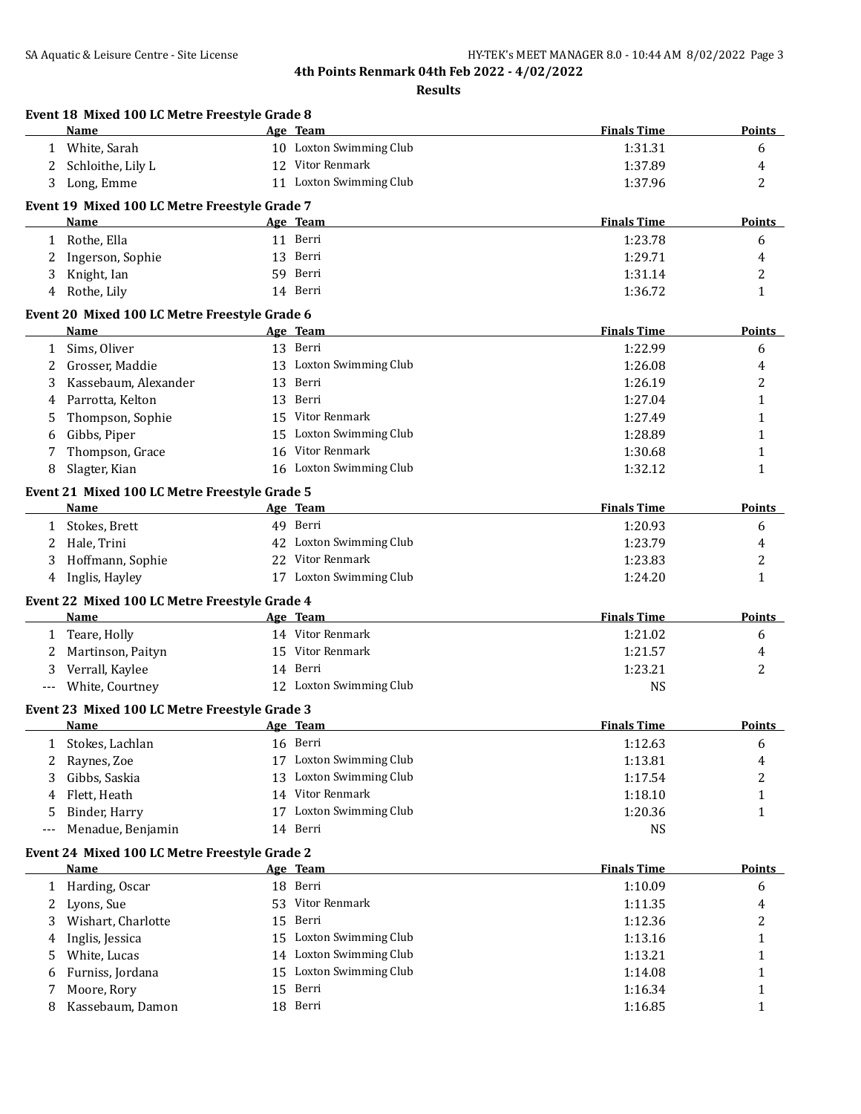|          | Event 18 Mixed 100 LC Metre Freestyle Grade 8<br>Name        | Age Team         | <b>Finals Time</b>                     | <b>Points</b> |
|----------|--------------------------------------------------------------|------------------|----------------------------------------|---------------|
|          | 1 White, Sarah                                               |                  | 10 Loxton Swimming Club<br>1:31.31     | 6             |
| 2        | Schloithe, Lily L                                            | 12 Vitor Renmark | 1:37.89                                | 4             |
| 3        | Long, Emme                                                   |                  | 11 Loxton Swimming Club<br>1:37.96     | 2             |
|          |                                                              |                  |                                        |               |
|          | Event 19 Mixed 100 LC Metre Freestyle Grade 7                |                  | <b>Finals Time</b>                     |               |
|          | Name                                                         | Age Team         |                                        | <b>Points</b> |
| 1        | Rothe, Ella                                                  | 11 Berri         | 1:23.78                                | 6             |
| 2        | Ingerson, Sophie                                             | 13 Berri         | 1:29.71                                | 4             |
| 3        | Knight, Ian                                                  | 59 Berri         | 1:31.14                                | 2             |
| 4        | Rothe, Lily                                                  | 14 Berri         | 1:36.72                                | 1             |
|          | Event 20 Mixed 100 LC Metre Freestyle Grade 6                |                  |                                        |               |
|          | Name                                                         | Age Team         | <b>Finals Time</b>                     | <b>Points</b> |
| 1        | Sims, Oliver                                                 | 13 Berri         | 1:22.99                                | 6             |
| 2        | Grosser, Maddie                                              |                  | 13 Loxton Swimming Club<br>1:26.08     | 4             |
| 3        | Kassebaum, Alexander                                         | 13 Berri         | 1:26.19                                | 2             |
| 4        | Parrotta, Kelton                                             | 13 Berri         | 1:27.04                                | 1             |
| 5        | Thompson, Sophie                                             | 15 Vitor Renmark | 1:27.49                                | 1             |
| 6        | Gibbs, Piper                                                 |                  | 15 Loxton Swimming Club<br>1:28.89     | 1             |
| 7        | Thompson, Grace                                              | 16 Vitor Renmark | 1:30.68                                | 1             |
| 8        | Slagter, Kian                                                |                  | 16 Loxton Swimming Club<br>1:32.12     | 1             |
|          | Event 21 Mixed 100 LC Metre Freestyle Grade 5                |                  |                                        |               |
|          | Name                                                         | Age Team         | <b>Finals Time</b>                     | <b>Points</b> |
| 1        | Stokes, Brett                                                | 49 Berri         | 1:20.93                                | 6             |
| 2        | Hale, Trini                                                  |                  | 42 Loxton Swimming Club<br>1:23.79     | 4             |
| 3        | Hoffmann, Sophie                                             | 22 Vitor Renmark | 1:23.83                                | 2             |
| 4        | Inglis, Hayley                                               |                  | 17 Loxton Swimming Club<br>1:24.20     | 1             |
|          | Event 22 Mixed 100 LC Metre Freestyle Grade 4                |                  |                                        |               |
|          | <b>Name</b>                                                  | Age Team         | <b>Finals Time</b>                     | <b>Points</b> |
|          | 1 Teare, Holly                                               | 14 Vitor Renmark | 1:21.02                                | 6             |
| 2        | Martinson, Paityn                                            | 15 Vitor Renmark | 1:21.57                                | 4             |
| 3        | Verrall, Kaylee                                              | 14 Berri         | 1:23.21                                | 2             |
| $---$    | White, Courtney                                              |                  | 12 Loxton Swimming Club<br><b>NS</b>   |               |
|          |                                                              |                  |                                        |               |
|          | Event 23 Mixed 100 LC Metre Freestyle Grade 3<br><u>Name</u> | Age Team         | <b>Finals Time</b>                     | <b>Points</b> |
|          | Stokes, Lachlan                                              | 16 Berri         | 1:12.63                                | 6             |
| T<br>2   | Raynes, Zoe                                                  |                  | 17 Loxton Swimming Club<br>1:13.81     | 4             |
| 3        | Gibbs, Saskia                                                | 13               | Loxton Swimming Club<br>1:17.54        | 2             |
| 4        | Flett, Heath                                                 | 14 Vitor Renmark | 1:18.10                                |               |
|          | Binder, Harry                                                |                  | 17 Loxton Swimming Club                | 1<br>1        |
| 5<br>--- | Menadue, Benjamin                                            | 14 Berri         | 1:20.36<br><b>NS</b>                   |               |
|          |                                                              |                  |                                        |               |
|          | Event 24 Mixed 100 LC Metre Freestyle Grade 2                |                  |                                        |               |
|          | Name                                                         | Age Team         | <b>Finals Time</b>                     | <b>Points</b> |
| 1        | Harding, Oscar                                               | 18 Berri         | 1:10.09                                | 6             |
| 2        | Lyons, Sue                                                   | 53               | Vitor Renmark<br>1:11.35               | 4             |
| 3        | Wishart, Charlotte                                           | Berri<br>15      | 1:12.36                                | 2             |
| 4        | Inglis, Jessica                                              | 15               | <b>Loxton Swimming Club</b><br>1:13.16 | 1             |
| 5        | White, Lucas                                                 |                  | 14 Loxton Swimming Club<br>1:13.21     | 1             |
| 6        | Furniss, Jordana                                             | 15               | Loxton Swimming Club<br>1:14.08        | 1             |
| 7        | Moore, Rory                                                  | Berri<br>15      | 1:16.34                                | 1             |
| 8        | Kassebaum, Damon                                             | 18 Berri         | 1:16.85                                | 1             |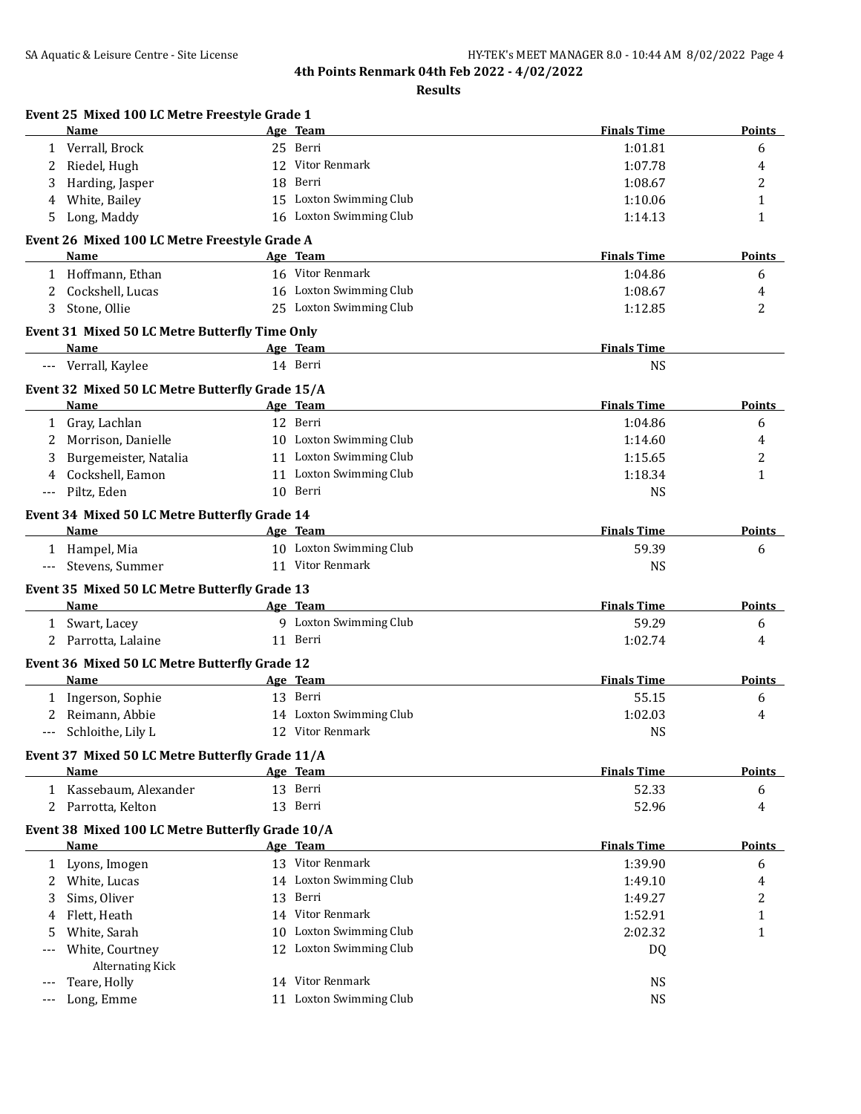|          | Name                                                           |    | Age Team                | <b>Finals Time</b> | Points         |
|----------|----------------------------------------------------------------|----|-------------------------|--------------------|----------------|
|          | 1 Verrall, Brock                                               |    | 25 Berri                | 1:01.81            | 6              |
| 2        | Riedel, Hugh                                                   |    | 12 Vitor Renmark        | 1:07.78            | 4              |
| 3        | Harding, Jasper                                                | 18 | Berri                   | 1:08.67            | $\overline{c}$ |
| 4        | White, Bailey                                                  |    | 15 Loxton Swimming Club | 1:10.06            | $\mathbf{1}$   |
| 5        | Long, Maddy                                                    |    | 16 Loxton Swimming Club | 1:14.13            | $\mathbf{1}$   |
|          | Event 26 Mixed 100 LC Metre Freestyle Grade A                  |    |                         |                    |                |
|          | Name                                                           |    | Age Team                | <b>Finals Time</b> | Points         |
|          | 1 Hoffmann, Ethan                                              |    | 16 Vitor Renmark        | 1:04.86            | 6              |
| 2        | Cockshell, Lucas                                               |    | 16 Loxton Swimming Club | 1:08.67            | 4              |
| 3        | Stone, Ollie                                                   |    | 25 Loxton Swimming Club | 1:12.85            | 2              |
|          | Event 31 Mixed 50 LC Metre Butterfly Time Only                 |    |                         |                    |                |
|          | <b>Name</b>                                                    |    | Age Team                | <b>Finals Time</b> |                |
|          | --- Verrall, Kaylee                                            |    | 14 Berri                | <b>NS</b>          |                |
|          | Event 32 Mixed 50 LC Metre Butterfly Grade 15/A                |    |                         |                    |                |
|          | Name                                                           |    | Age Team                | <b>Finals Time</b> | <b>Points</b>  |
| 1        | Gray, Lachlan                                                  |    | 12 Berri                | 1:04.86            | 6              |
| 2        | Morrison, Danielle                                             |    | 10 Loxton Swimming Club | 1:14.60            | 4              |
| 3        | Burgemeister, Natalia                                          |    | 11 Loxton Swimming Club | 1:15.65            | 2              |
| 4        | Cockshell, Eamon                                               |    | 11 Loxton Swimming Club | 1:18.34            | $\mathbf{1}$   |
| $\cdots$ | Piltz, Eden                                                    |    | 10 Berri                | <b>NS</b>          |                |
|          | Event 34 Mixed 50 LC Metre Butterfly Grade 14                  |    |                         |                    |                |
|          | Name                                                           |    | Age Team                | <b>Finals Time</b> | <b>Points</b>  |
|          | 1 Hampel, Mia                                                  |    | 10 Loxton Swimming Club | 59.39              | 6              |
| $---$    | Stevens, Summer                                                |    | 11 Vitor Renmark        | NS                 |                |
|          | Event 35 Mixed 50 LC Metre Butterfly Grade 13                  |    |                         |                    |                |
|          | Name                                                           |    | Age Team                | <b>Finals Time</b> | <b>Points</b>  |
| 1        | Swart, Lacey                                                   |    | 9 Loxton Swimming Club  | 59.29              | 6              |
|          | 2 Parrotta, Lalaine                                            |    | 11 Berri                | 1:02.74            | 4              |
|          | Event 36 Mixed 50 LC Metre Butterfly Grade 12<br>Name          |    | Age Team                | <b>Finals Time</b> | Points         |
|          |                                                                |    | 13 Berri                | 55.15              |                |
|          | 1 Ingerson, Sophie<br>2 Reimann, Abbie                         |    | 14 Loxton Swimming Club | 1:02.03            | 6<br>4         |
|          | Schloithe, Lily L                                              |    | 12 Vitor Renmark        | <b>NS</b>          |                |
|          |                                                                |    |                         |                    |                |
|          | Event 37 Mixed 50 LC Metre Butterfly Grade 11/A<br><b>Name</b> |    | Age Team                | <b>Finals Time</b> | <b>Points</b>  |
|          | 1 Kassebaum, Alexander                                         |    | 13 Berri                | 52.33              | 6              |
|          | 2 Parrotta, Kelton                                             |    | 13 Berri                | 52.96              | 4              |
|          | Event 38 Mixed 100 LC Metre Butterfly Grade 10/A               |    |                         |                    |                |
|          | <b>Name</b>                                                    |    | Age Team                | <b>Finals Time</b> | <b>Points</b>  |
|          | 1 Lyons, Imogen                                                |    | 13 Vitor Renmark        | 1:39.90            | 6              |
| 2        | White, Lucas                                                   |    | 14 Loxton Swimming Club | 1:49.10            | 4              |
| 3        | Sims, Oliver                                                   |    | 13 Berri                | 1:49.27            | 2              |
| 4        | Flett, Heath                                                   |    | 14 Vitor Renmark        | 1:52.91            | 1              |
| 5        | White, Sarah                                                   |    | 10 Loxton Swimming Club | 2:02.32            | $\mathbf{1}$   |
| ---      | White, Courtney                                                |    | 12 Loxton Swimming Club | DQ                 |                |
|          | <b>Alternating Kick</b>                                        |    |                         |                    |                |
| ---      | Teare, Holly                                                   |    | 14 Vitor Renmark        | <b>NS</b>          |                |
| ---      | Long, Emme                                                     |    | 11 Loxton Swimming Club | <b>NS</b>          |                |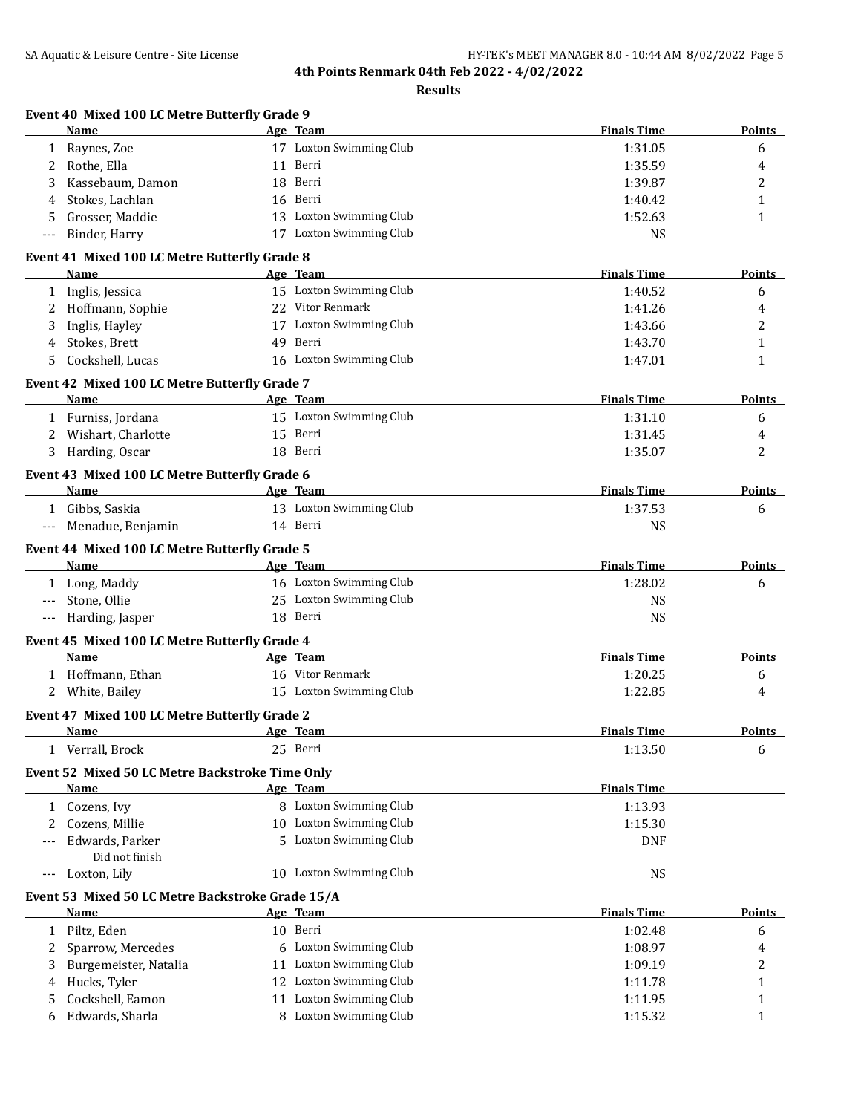|      | Event 40 Mixed 100 LC Metre Butterfly Grade 9<br>Name |    | Age Team                            | <b>Finals Time</b> | Points        |
|------|-------------------------------------------------------|----|-------------------------------------|--------------------|---------------|
|      | 1 Raynes, Zoe                                         |    | 17 Loxton Swimming Club             | 1:31.05            | 6             |
| 2    | Rothe, Ella                                           |    | 11 Berri                            | 1:35.59            | 4             |
| 3    | Kassebaum, Damon                                      |    | 18 Berri                            | 1:39.87            | 2             |
| 4    | Stokes, Lachlan                                       |    | 16 Berri                            | 1:40.42            | 1             |
| 5    | Grosser, Maddie                                       |    | 13 Loxton Swimming Club             | 1:52.63            | 1             |
| ---  | Binder, Harry                                         |    | 17 Loxton Swimming Club             | <b>NS</b>          |               |
|      |                                                       |    |                                     |                    |               |
|      | Event 41 Mixed 100 LC Metre Butterfly Grade 8         |    |                                     |                    |               |
|      | <b>Name</b>                                           |    | Age Team<br>15 Loxton Swimming Club | <b>Finals Time</b> | <b>Points</b> |
|      | 1 Inglis, Jessica                                     |    |                                     | 1:40.52            | 6             |
|      | 2 Hoffmann, Sophie                                    |    | 22 Vitor Renmark                    | 1:41.26            | 4             |
| 3    | Inglis, Hayley                                        |    | 17 Loxton Swimming Club             | 1:43.66            | 2             |
| 4    | Stokes, Brett                                         |    | 49 Berri                            | 1:43.70            | 1             |
|      | Cockshell, Lucas                                      |    | 16 Loxton Swimming Club             | 1:47.01            | 1             |
|      | Event 42 Mixed 100 LC Metre Butterfly Grade 7         |    |                                     |                    |               |
|      | Name                                                  |    | Age Team                            | <b>Finals Time</b> | Points        |
|      | 1 Furniss, Jordana                                    |    | 15 Loxton Swimming Club             | 1:31.10            | 6             |
|      | 2 Wishart, Charlotte                                  |    | 15 Berri                            | 1:31.45            | 4             |
|      | 3 Harding, Oscar                                      |    | 18 Berri                            | 1:35.07            | 2             |
|      | Event 43 Mixed 100 LC Metre Butterfly Grade 6         |    |                                     |                    |               |
|      | Name                                                  |    | Age Team                            | <b>Finals Time</b> | <b>Points</b> |
|      | 1 Gibbs, Saskia                                       |    | 13 Loxton Swimming Club             | 1:37.53            | 6             |
|      | --- Menadue, Benjamin                                 |    | 14 Berri                            | <b>NS</b>          |               |
|      |                                                       |    |                                     |                    |               |
|      | Event 44 Mixed 100 LC Metre Butterfly Grade 5         |    |                                     |                    |               |
|      | <b>Name</b>                                           |    | Age Team                            | <b>Finals Time</b> | <b>Points</b> |
|      | 1 Long, Maddy                                         |    | 16 Loxton Swimming Club             | 1:28.02            | 6             |
| $--$ | Stone, Ollie                                          |    | 25 Loxton Swimming Club             | <b>NS</b>          |               |
| ---  | Harding, Jasper                                       |    | 18 Berri                            | <b>NS</b>          |               |
|      | Event 45 Mixed 100 LC Metre Butterfly Grade 4         |    |                                     |                    |               |
|      | Name                                                  |    | Age Team                            | <b>Finals Time</b> | <b>Points</b> |
|      | 1 Hoffmann, Ethan                                     |    | 16 Vitor Renmark                    | 1:20.25            | 6             |
|      | 2 White, Bailey                                       |    | 15 Loxton Swimming Club             | 1:22.85            | 4             |
|      | Event 47 Mixed 100 LC Metre Butterfly Grade 2         |    |                                     |                    |               |
|      | <u>Name</u>                                           |    | Age Team                            | <b>Finals Time</b> | <b>Points</b> |
|      | 1 Verrall, Brock                                      |    | 25 Berri                            | 1:13.50            | 6             |
|      |                                                       |    |                                     |                    |               |
|      | Event 52 Mixed 50 LC Metre Backstroke Time Only       |    |                                     |                    |               |
|      | Name                                                  |    | Age Team                            | <b>Finals Time</b> |               |
|      | 1 Cozens, Ivy                                         |    | 8 Loxton Swimming Club              | 1:13.93            |               |
| 2    | Cozens, Millie                                        |    | 10 Loxton Swimming Club             | 1:15.30            |               |
|      | Edwards, Parker                                       | 5. | <b>Loxton Swimming Club</b>         | <b>DNF</b>         |               |
|      | Did not finish                                        |    |                                     |                    |               |
| ---  | Loxton, Lily                                          |    | 10 Loxton Swimming Club             | <b>NS</b>          |               |
|      | Event 53 Mixed 50 LC Metre Backstroke Grade 15/A      |    |                                     |                    |               |
|      | <b>Name</b>                                           |    | Age Team                            | <b>Finals Time</b> | <b>Points</b> |
| 1    | Piltz, Eden                                           |    | 10 Berri                            | 1:02.48            | 6             |
| 2    | Sparrow, Mercedes                                     |    | 6 Loxton Swimming Club              | 1:08.97            | 4             |
| 3    | Burgemeister, Natalia                                 |    | 11 Loxton Swimming Club             | 1:09.19            | 2             |
| 4    | Hucks, Tyler                                          |    | 12 Loxton Swimming Club             | 1:11.78            | 1             |
| 5    | Cockshell, Eamon                                      |    | 11 Loxton Swimming Club             | 1:11.95            | 1             |
| 6    | Edwards, Sharla                                       |    | 8 Loxton Swimming Club              | 1:15.32            | 1             |
|      |                                                       |    |                                     |                    |               |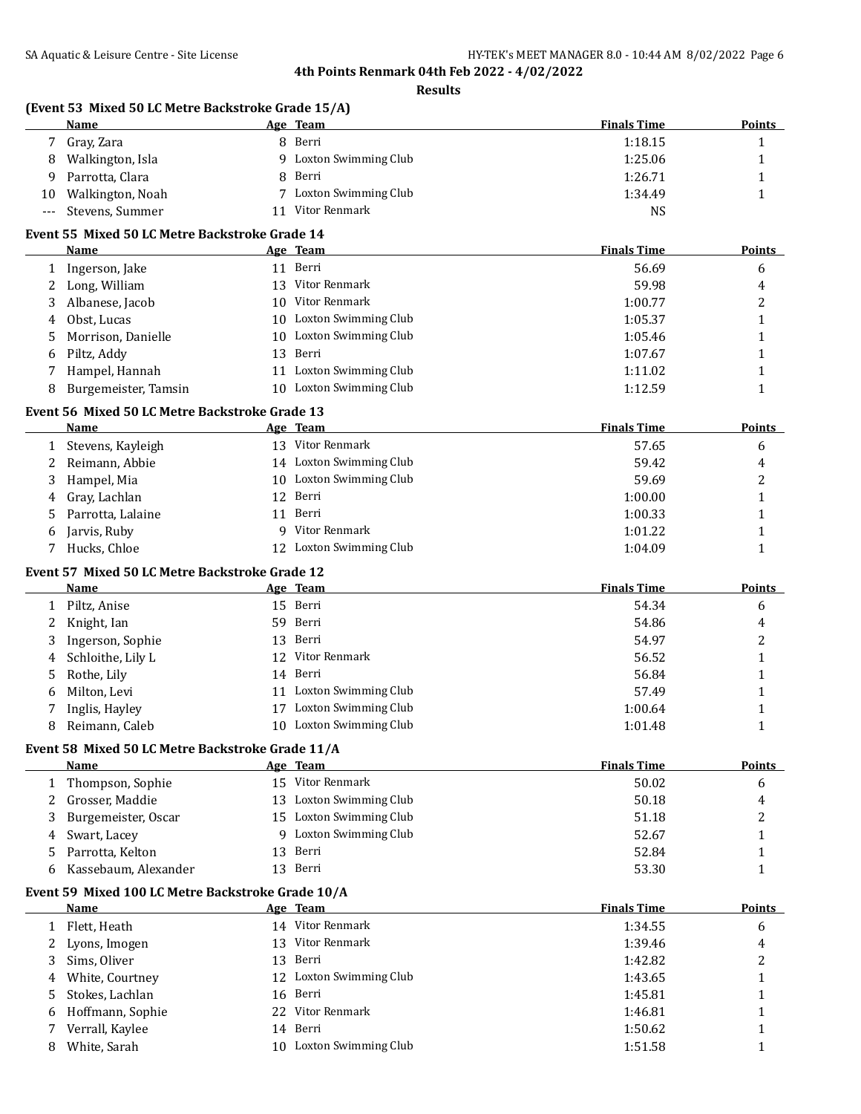**Results**

# **(Event 53 Mixed 50 LC Metre Backstroke Grade 15/A)**

|    | Name                |    | Age Team             | <b>Finals Time</b> | <b>Points</b> |
|----|---------------------|----|----------------------|--------------------|---------------|
|    | Gray, Zara          | 8. | Berri                | 1:18.15            |               |
| 8  | Walkington, Isla    | Q  | Loxton Swimming Club | 1:25.06            |               |
|    | Parrotta, Clara     |    | 8 Berri              | 1:26.71            |               |
| 10 | Walkington, Noah    |    | Loxton Swimming Club | 1:34.49            |               |
|    | --- Stevens, Summer |    | Vitor Renmark        | NS                 |               |

# **Event 55 Mixed 50 LC Metre Backstroke Grade 14**

|   | Name                 |     | Age Team                | <b>Finals Time</b> | <b>Points</b> |
|---|----------------------|-----|-------------------------|--------------------|---------------|
|   | Ingerson, Jake       |     | 11 Berri                | 56.69              | 6             |
|   | Long, William        | 13  | Vitor Renmark           | 59.98              | 4             |
| 3 | Albanese, Jacob      | 10. | Vitor Renmark           | 1:00.77            | 2             |
| 4 | Obst, Lucas          | 10. | Loxton Swimming Club    | 1:05.37            |               |
|   | 5 Morrison, Danielle |     | 10 Loxton Swimming Club | 1:05.46            |               |
| 6 | Piltz, Addy          |     | 13 Berri                | 1:07.67            |               |
|   | Hampel, Hannah       | 11  | Loxton Swimming Club    | 1:11.02            |               |
|   | Burgemeister, Tamsin | 10. | Loxton Swimming Club    | 1:12.59            |               |

### **Event 56 Mixed 50 LC Metre Backstroke Grade 13**

|    | Name              |    | Age Team                | <b>Finals Time</b> | <b>Points</b> |
|----|-------------------|----|-------------------------|--------------------|---------------|
|    | Stevens, Kayleigh |    | 13 Vitor Renmark        | 57.65              | b             |
|    | Reimann, Abbie    |    | 14 Loxton Swimming Club | 59.42              | 4             |
|    | Hampel, Mia       |    | 10 Loxton Swimming Club | 59.69              |               |
| 4  | Gray, Lachlan     |    | 12 Berri                | 1:00.00            |               |
| 5. | Parrotta, Lalaine | 11 | Berri                   | 1:00.33            |               |
| 6  | Jarvis, Ruby      | Q. | Vitor Renmark           | 1:01.22            |               |
|    | Hucks, Chloe      |    | Loxton Swimming Club    | 1:04.09            |               |

#### **Event 57 Mixed 50 LC Metre Backstroke Grade 12**

|    | <b>Name</b>       |    | Age Team             | <b>Finals Time</b> | Points |
|----|-------------------|----|----------------------|--------------------|--------|
|    | Piltz, Anise      |    | 15 Berri             | 54.34              | 6      |
| 2  | Knight, Ian       |    | 59 Berri             | 54.86              | 4      |
| 3  | Ingerson, Sophie  |    | 13 Berri             | 54.97              | າ      |
| 4  | Schloithe, Lily L |    | 12 Vitor Renmark     | 56.52              |        |
| 5. | Rothe, Lily       |    | 14 Berri             | 56.84              |        |
| 6  | Milton, Levi      | 11 | Loxton Swimming Club | 57.49              |        |
|    | Inglis, Hayley    | 17 | Loxton Swimming Club | 1:00.64            |        |
| 8  | Reimann, Caleb    | 10 | Loxton Swimming Club | 1:01.48            |        |

### **Event 58 Mixed 50 LC Metre Backstroke Grade 11/A**

|    | Name                 |     | Age Team               | <b>Finals Time</b> | <b>Points</b> |
|----|----------------------|-----|------------------------|--------------------|---------------|
|    | Thompson, Sophie     | 15  | Vitor Renmark          | 50.02              | b             |
|    | Grosser, Maddie      | 13  | Loxton Swimming Club   | 50.18              | 4             |
|    | Burgemeister, Oscar  | 15. | Loxton Swimming Club   | 51.18              | ▵             |
| 4  | Swart, Lacey         |     | 9 Loxton Swimming Club | 52.67              |               |
| 5. | Parrotta, Kelton     | I3. | Berri                  | 52.84              |               |
|    | Kassebaum, Alexander |     | 13 Berri               | 53.30              |               |
|    |                      |     |                        |                    |               |

## **Event 59 Mixed 100 LC Metre Backstroke Grade 10/A**

|   | Name               |     | Age Team                | <b>Finals Time</b> | <b>Points</b> |
|---|--------------------|-----|-------------------------|--------------------|---------------|
|   | Flett, Heath       |     | 14 Vitor Renmark        | 1:34.55            | 6             |
|   | 2 Lyons, Imogen    | 13. | Vitor Renmark           | 1:39.46            | 4             |
|   | 3 Sims, Oliver     |     | 13 Berri                | 1:42.82            | ▵             |
|   | 4 White, Courtney  |     | 12 Loxton Swimming Club | 1:43.65            |               |
|   | 5 Stokes, Lachlan  |     | 16 Berri                | 1:45.81            |               |
|   | 6 Hoffmann, Sophie |     | 22 Vitor Renmark        | 1:46.81            |               |
|   | Verrall, Kaylee    |     | 14 Berri                | 1:50.62            |               |
| 8 | White, Sarah       | 10. | Loxton Swimming Club    | 1:51.58            |               |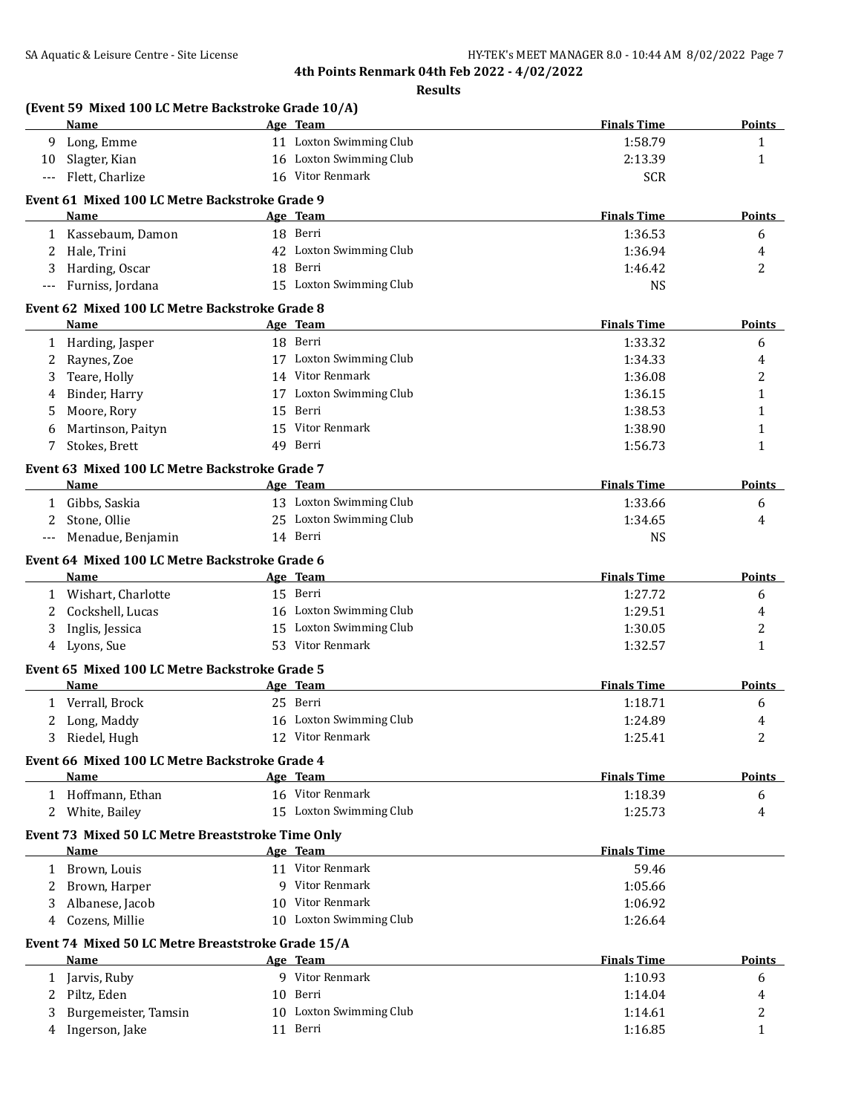|     | Name                                                          | Age Team                                           | <b>Finals Time</b> | Points        |
|-----|---------------------------------------------------------------|----------------------------------------------------|--------------------|---------------|
|     | 9 Long, Emme                                                  | 11 Loxton Swimming Club                            | 1:58.79            | $\mathbf{1}$  |
| 10  | Slagter, Kian                                                 | 16 Loxton Swimming Club                            | 2:13.39            | $\mathbf{1}$  |
|     | Flett, Charlize                                               | 16 Vitor Renmark                                   | <b>SCR</b>         |               |
|     | Event 61 Mixed 100 LC Metre Backstroke Grade 9                |                                                    |                    |               |
|     | <b>Name</b>                                                   | Age Team                                           | <b>Finals Time</b> | <b>Points</b> |
|     | 1 Kassebaum, Damon                                            | 18 Berri                                           | 1:36.53            | 6             |
| 2   | Hale, Trini                                                   | 42 Loxton Swimming Club                            | 1:36.94            | 4             |
| 3   | Harding, Oscar                                                | 18 Berri                                           | 1:46.42            | 2             |
| --- | Furniss, Jordana                                              | 15 Loxton Swimming Club                            | <b>NS</b>          |               |
|     | Event 62 Mixed 100 LC Metre Backstroke Grade 8                |                                                    |                    |               |
|     | Name                                                          | Age Team                                           | <b>Finals Time</b> | <b>Points</b> |
|     | 1 Harding, Jasper                                             | 18 Berri                                           | 1:33.32            | 6             |
| 2   | Raynes, Zoe                                                   | 17 Loxton Swimming Club                            | 1:34.33            | 4             |
| 3   | Teare, Holly                                                  | 14 Vitor Renmark                                   | 1:36.08            | 2             |
| 4   | Binder, Harry                                                 | 17 Loxton Swimming Club                            | 1:36.15            | $\mathbf{1}$  |
| 5   | Moore, Rory                                                   | 15 Berri                                           | 1:38.53            | $\mathbf{1}$  |
| 6   | Martinson, Paityn                                             | 15 Vitor Renmark                                   | 1:38.90            | 1             |
| 7   | Stokes, Brett                                                 | 49 Berri                                           | 1:56.73            | $\mathbf{1}$  |
|     | Event 63 Mixed 100 LC Metre Backstroke Grade 7                |                                                    | <b>Finals Time</b> |               |
|     | Name                                                          | Age Team                                           |                    | Points        |
|     | 1 Gibbs, Saskia                                               | 13 Loxton Swimming Club<br>25 Loxton Swimming Club | 1:33.66            | 6             |
| 2   | Stone, Ollie                                                  |                                                    | 1:34.65            | 4             |
| --- | Menadue, Benjamin                                             | 14 Berri                                           | <b>NS</b>          |               |
|     | Event 64 Mixed 100 LC Metre Backstroke Grade 6<br><b>Name</b> | Age Team                                           | <b>Finals Time</b> | Points        |
|     | 1 Wishart, Charlotte                                          | 15 Berri                                           | 1:27.72            | 6             |
| 2   | Cockshell, Lucas                                              | 16 Loxton Swimming Club                            | 1:29.51            | 4             |
| 3   | Inglis, Jessica                                               | 15 Loxton Swimming Club                            | 1:30.05            | 2             |
|     | 4 Lyons, Sue                                                  | 53 Vitor Renmark                                   | 1:32.57            | 1             |
|     | Event 65 Mixed 100 LC Metre Backstroke Grade 5                |                                                    |                    |               |
|     | Name                                                          | Age Team                                           | <b>Finals Time</b> | <b>Points</b> |
|     | 1 Verrall, Brock                                              | 25 Berri                                           | 1:18.71            | 6             |
|     | 2 Long, Maddy                                                 | 16 Loxton Swimming Club                            | 1:24.89            | 4             |
|     | Riedel, Hugh                                                  | 12 Vitor Renmark                                   | 1:25.41            | 2             |
|     | Event 66 Mixed 100 LC Metre Backstroke Grade 4                |                                                    |                    |               |
|     | <b>Name</b>                                                   | Age Team                                           | <b>Finals Time</b> | <b>Points</b> |
|     | 1 Hoffmann, Ethan                                             | 16 Vitor Renmark                                   | 1:18.39            | 6             |
|     | 2 White, Bailey                                               | 15 Loxton Swimming Club                            | 1:25.73            | 4             |
|     | Event 73 Mixed 50 LC Metre Breaststroke Time Only             |                                                    |                    |               |
|     | Name                                                          | Age Team                                           | <b>Finals Time</b> |               |
|     | 1 Brown, Louis                                                | 11 Vitor Renmark                                   | 59.46              |               |
| 2   | Brown, Harper                                                 | 9 Vitor Renmark                                    | 1:05.66            |               |
| 3   | Albanese, Jacob                                               | 10 Vitor Renmark                                   | 1:06.92            |               |
| 4   | Cozens, Millie                                                | 10 Loxton Swimming Club                            | 1:26.64            |               |
|     | Event 74 Mixed 50 LC Metre Breaststroke Grade 15/A            |                                                    |                    |               |
|     | Name                                                          | Age Team                                           | <b>Finals Time</b> | Points        |
|     | 1 Jarvis, Ruby                                                | 9 Vitor Renmark                                    | 1:10.93            | 6             |
| 2   | Piltz, Eden                                                   | 10 Berri                                           | 1:14.04            | 4             |
| 3   | Burgemeister, Tamsin                                          | 10 Loxton Swimming Club                            | 1:14.61            | 2             |
| 4   | Ingerson, Jake                                                | 11 Berri                                           | 1:16.85            | $\mathbf{1}$  |
|     |                                                               |                                                    |                    |               |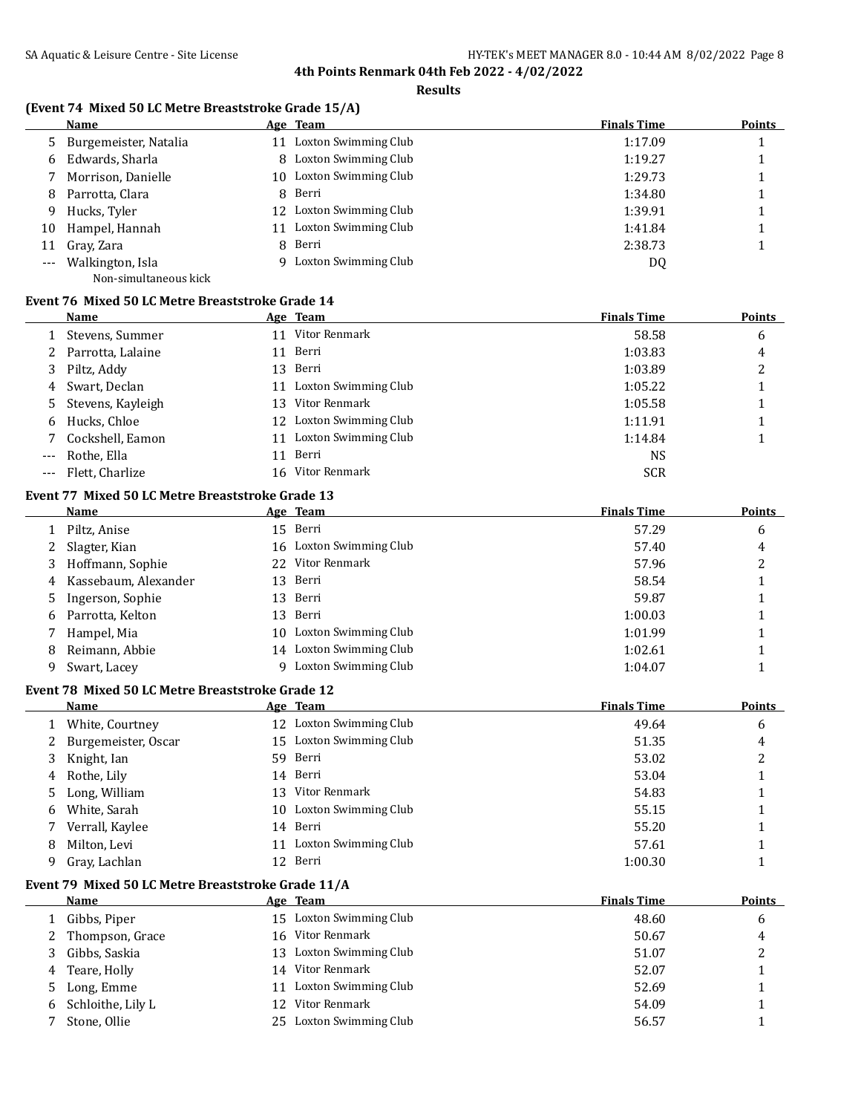#### **Results**

# **(Event 74 Mixed 50 LC Metre Breaststroke Grade 15/A)**

|    | Name                    |     | Age Team             | <b>Finals Time</b> | <b>Points</b> |
|----|-------------------------|-----|----------------------|--------------------|---------------|
|    | 5 Burgemeister, Natalia | 11  | Loxton Swimming Club | 1:17.09            |               |
| 6  | Edwards, Sharla         | 8.  | Loxton Swimming Club | 1:19.27            |               |
|    | Morrison, Danielle      | 10. | Loxton Swimming Club | 1:29.73            |               |
| 8  | Parrotta, Clara         | 8   | Berri                | 1:34.80            |               |
| 9. | Hucks, Tyler            | 12. | Loxton Swimming Club | 1:39.91            |               |
| 10 | Hampel, Hannah          | 11  | Loxton Swimming Club | 1:41.84            |               |
| 11 | Gray, Zara              |     | 8 Berri              | 2:38.73            |               |
|    | --- Walkington, Isla    |     | Loxton Swimming Club | DQ                 |               |
|    |                         |     |                      |                    |               |

Non-simultaneous kick

### **Event 76 Mixed 50 LC Metre Breaststroke Grade 14**

|       | Name                |     | Age Team             | <b>Finals Time</b> | <b>Points</b> |
|-------|---------------------|-----|----------------------|--------------------|---------------|
|       | Stevens, Summer     | 11  | Vitor Renmark        | 58.58              | 6             |
|       | 2 Parrotta, Lalaine |     | 11 Berri             | 1:03.83            | 4             |
| 3     | Piltz, Addy         |     | 13 Berri             | 1:03.89            |               |
|       | 4 Swart, Declan     | 11  | Loxton Swimming Club | 1:05.22            |               |
|       | 5 Stevens, Kayleigh | 13. | Vitor Renmark        | 1:05.58            |               |
| 6     | Hucks, Chloe        | 12. | Loxton Swimming Club | 1:11.91            |               |
|       | Cockshell, Eamon    | 11  | Loxton Swimming Club | 1:14.84            |               |
| $---$ | Rothe, Ella         | 11  | Berri                | <b>NS</b>          |               |
|       | --- Flett, Charlize | 16  | Vitor Renmark        | <b>SCR</b>         |               |

## **Event 77 Mixed 50 LC Metre Breaststroke Grade 13**

|   | Name                   |     | Age Team                | <b>Finals Time</b> | <b>Points</b> |
|---|------------------------|-----|-------------------------|--------------------|---------------|
|   | Piltz, Anise           |     | 15 Berri                | 57.29              | 6             |
|   | 2 Slagter, Kian        |     | 16 Loxton Swimming Club | 57.40              | 4             |
|   | 3 Hoffmann, Sophie     |     | 22 Vitor Renmark        | 57.96              |               |
|   | 4 Kassebaum, Alexander |     | 13 Berri                | 58.54              |               |
|   | 5 Ingerson, Sophie     |     | 13 Berri                | 59.87              |               |
| 6 | Parrotta, Kelton       | 13. | Berri                   | 1:00.03            |               |
|   | Hampel, Mia            | 10  | Loxton Swimming Club    | 1:01.99            |               |
| 8 | Reimann, Abbie         |     | 14 Loxton Swimming Club | 1:02.61            |               |
| 9 | Swart, Lacey           |     | Loxton Swimming Club    | 1:04.07            |               |

### **Event 78 Mixed 50 LC Metre Breaststroke Grade 12**

|   | Name                  |     | Age Team                | <b>Finals Time</b> | <b>Points</b> |
|---|-----------------------|-----|-------------------------|--------------------|---------------|
|   | 1 White, Courtney     |     | 12 Loxton Swimming Club | 49.64              | 6             |
|   | 2 Burgemeister, Oscar |     | 15 Loxton Swimming Club | 51.35              | 4             |
|   | 3 Knight, Ian         |     | 59 Berri                | 53.02              |               |
|   | 4 Rothe, Lily         |     | 14 Berri                | 53.04              |               |
|   | 5 Long, William       | 13. | Vitor Renmark           | 54.83              |               |
| 6 | White, Sarah          |     | 10 Loxton Swimming Club | 55.15              |               |
|   | Verrall, Kaylee       |     | 14 Berri                | 55.20              |               |
| 8 | Milton, Levi          | 11  | Loxton Swimming Club    | 57.61              |               |
| 9 | Gray, Lachlan         |     | 12 Berri                | 1:00.30            |               |

## **Event 79 Mixed 50 LC Metre Breaststroke Grade 11/A**

|   | <b>Name</b>       |     | Age Team                | <b>Finals Time</b> | <b>Points</b> |
|---|-------------------|-----|-------------------------|--------------------|---------------|
|   | Gibbs, Piper      |     | 15 Loxton Swimming Club | 48.60              | 6             |
|   | Thompson, Grace   |     | 16 Vitor Renmark        | 50.67              | 4             |
|   | Gibbs, Saskia     |     | 13 Loxton Swimming Club | 51.07              | ▵             |
| 4 | Teare, Holly      |     | 14 Vitor Renmark        | 52.07              |               |
| 5 | Long, Emme        |     | 11 Loxton Swimming Club | 52.69              |               |
| 6 | Schloithe, Lily L | 12. | Vitor Renmark           | 54.09              |               |
|   | Stone, Ollie      |     | 25 Loxton Swimming Club | 56.57              |               |
|   |                   |     |                         |                    |               |